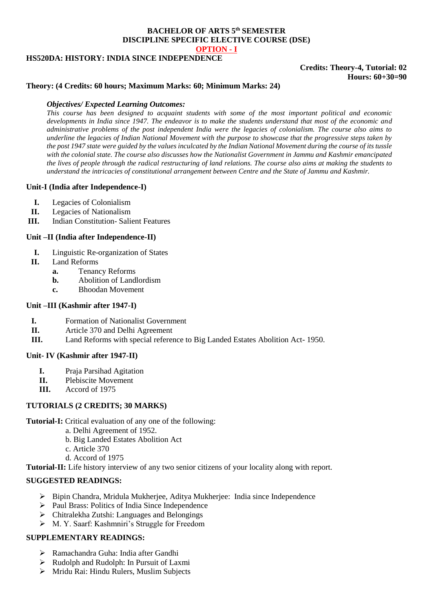## **BACHELOR OF ARTS 5th SEMESTER DISCIPLINE SPECIFIC ELECTIVE COURSE (DSE) OPTION - I**

### **HS520DA: HISTORY: INDIA SINCE INDEPENDENCE**

# **Credits: Theory-4, Tutorial: 02 Hours: 60+30=90**

## **Theory: (4 Credits: 60 hours; Maximum Marks: 60; Minimum Marks: 24)**

## *Objectives/ Expected Learning Outcomes:*

*This course has been designed to acquaint students with some of the most important political and economic developments in India since 1947. The endeavor is to make the students understand that most of the economic and administrative problems of the post independent India were the legacies of colonialism. The course also aims to underline the legacies of Indian National Movement with the purpose to showcase that the progressive steps taken by the post 1947 state were guided by the values inculcated by the Indian National Movement during the course of its tussle with the colonial state. The course also discusses how the Nationalist Government in Jammu and Kashmir emancipated the lives of people through the radical restructuring of land relations. The course also aims at making the students to understand the intricacies of constitutional arrangement between Centre and the State of Jammu and Kashmir.*

## **Unit-I (India after Independence-I)**

- **I.** Legacies of Colonialism
- **II.** Legacies of Nationalism
- **III.** Indian Constitution- Salient Features

## **Unit –II (India after Independence-II)**

- **I.** Linguistic Re-organization of States
- **II.** Land Reforms
	- **a.** Tenancy Reforms
	- **b.** Abolition of Landlordism
	- **c.** Bhoodan Movement

### **Unit –III (Kashmir after 1947-I)**

- **I.** Formation of Nationalist Government
- **II.** Article 370 and Delhi Agreement
- **III.** Land Reforms with special reference to Big Landed Estates Abolition Act- 1950.

### **Unit- IV (Kashmir after 1947-II)**

- **I.** Praja Parsihad Agitation
- **II.** Plebiscite Movement
- **III.** Accord of 1975

## **TUTORIALS (2 CREDITS; 30 MARKS)**

**Tutorial-I:** Critical evaluation of any one of the following:

- a. Delhi Agreement of 1952.
	- b. Big Landed Estates Abolition Act
	- c. Article 370
- d. Accord of 1975

**Tutorial-II:** Life history interview of any two senior citizens of your locality along with report.

## **SUGGESTED READINGS:**

- $\triangleright$  Bipin Chandra, Mridula Mukherjee, Aditya Mukherjee: India since Independence
- Paul Brass: Politics of India Since Independence
- Chitralekha Zutshi: Languages and Belongings
- M. Y. Saarf: Kashmniri's Struggle for Freedom

# **SUPPLEMENTARY READINGS:**

- Ramachandra Guha: India after Gandhi
- Rudolph and Rudolph: In Pursuit of Laxmi
- Mridu Rai: Hindu Rulers, Muslim Subjects